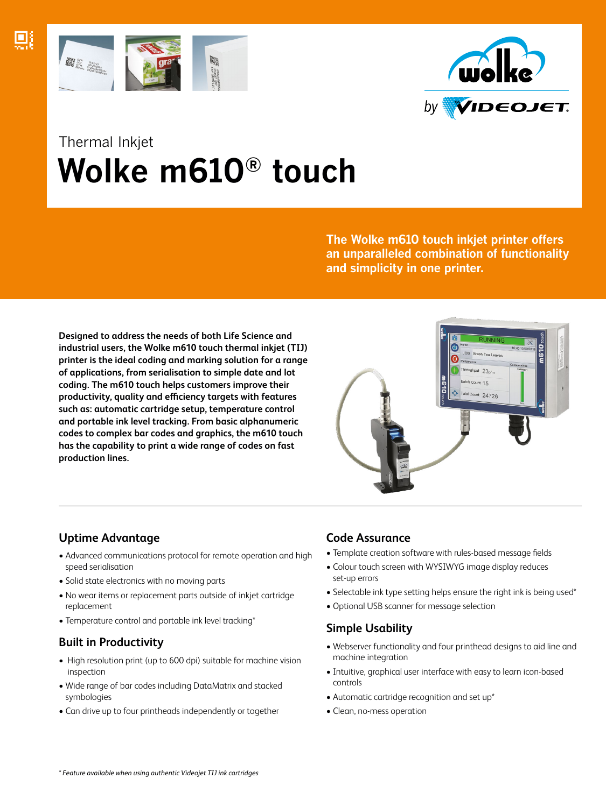



# Thermal Inkjet  **Wolke m610® touch**

**The Wolke m610 touch inkjet printer offers an unparalleled combination of functionality and simplicity in one printer.**

**Designed to address the needs of both Life Science and industrial users, the Wolke m610 touch thermal inkjet (TIJ) printer is the ideal coding and marking solution for a range of applications, from serialisation to simple date and lot coding. The m610 touch helps customers improve their productivity, quality and efficiency targets with features such as: automatic cartridge setup, temperature control and portable ink level tracking. From basic alphanumeric codes to complex bar codes and graphics, the m610 touch has the capability to print a wide range of codes on fast production lines.**



# **Uptime Advantage**

- Advanced communications protocol for remote operation and high speed serialisation
- Solid state electronics with no moving parts
- No wear items or replacement parts outside of inkjet cartridge replacement
- Temperature control and portable ink level tracking\*

# **Built in Productivity**

- High resolution print (up to 600 dpi) suitable for machine vision inspection
- Wide range of bar codes including DataMatrix and stacked symbologies
- Can drive up to four printheads independently or together

### **Code Assurance**

- Template creation software with rules-based message fields
- Colour touch screen with WYSIWYG image display reduces set-up errors
- Selectable ink type setting helps ensure the right ink is being used\*
- Optional USB scanner for message selection

# **Simple Usability**

- Webserver functionality and four printhead designs to aid line and machine integration
- Intuitive, graphical user interface with easy to learn icon-based controls
- Automatic cartridge recognition and set up\*
- Clean, no-mess operation